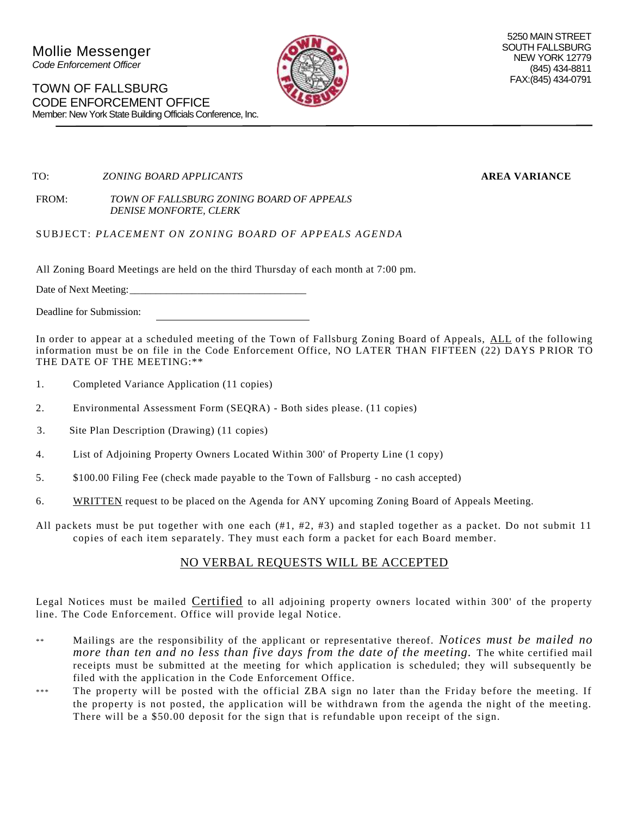Mollie Messenger *Code Enforcement Officer*

TOWN OF FALLSBURG CODE ENFORCEMENT OFFICE Member: New York State Building Officials Conference, Inc.

5250 MAIN STREET SOUTH FALLSBURG NEW YORK 12779 (845) 434-8811 FAX:(845) 434-0791

#### TO: *ZONING BOARD APPLICANTS* **AREA VARIANCE**

#### FROM: *TOWN OF FALLSBURG ZONING BOARD OF APPEALS DENISE MONFORTE, CLERK*

SUBJECT : *PLACEMENT ON ZONING BOARD OF APPEALS AGENDA*

All Zoning Board Meetings are held on the third Thursday of each month at 7:00 pm.

Date of Next Meeting:

Deadline for Submission:

In order to appear at a scheduled meeting of the Town of Fallsburg Zoning Board of Appeals, ALL of the following information must be on file in the Code Enforcement Office, NO LATER THAN FIFTEEN (22) DAYS P RIOR TO THE DATE OF THE MEETING:\*\*

- 1. Completed Variance Application (11 copies)
- 2. Environmental Assessment Form (SEQRA) Both sides please. (11 copies)
- 3. Site Plan Description (Drawing) (11 copies)
- 4. List of Adjoining Property Owners Located Within 300' of Property Line (1 copy)
- 5. \$100.00 Filing Fee (check made payable to the Town of Fallsburg no cash accepted)
- 6. WRITTEN request to be placed on the Agenda for ANY upcoming Zoning Board of Appeals Meeting.
- All packets must be put together with one each (#1, #2, #3) and stapled together as a packet. Do not submit 11 copies of each item separately. They must each form a packet for each Board member.

#### NO VERBAL REQUESTS WILL BE ACCEPTED

Legal Notices must be mailed Certified to all adjoining property owners located within 300' of the property line. The Code Enforcement. Office will provide legal Notice.

- \*\* Mailings are the responsibility of the applicant or representative thereof. *Notices must be mailed no more than ten and no less than five days from the date of the meeting. The white certified mail* receipts must be submitted at the meeting for which application is scheduled; they will subsequently be filed with the application in the Code Enforcement Office.
- \*\*\* The property will be posted with the official ZBA sign no later than the Friday before the meeting. If the property is not posted, the application will be withdrawn from the agenda the night of the meeting. There will be a \$50.00 deposit for the sign that is refundable upon receipt of the sign.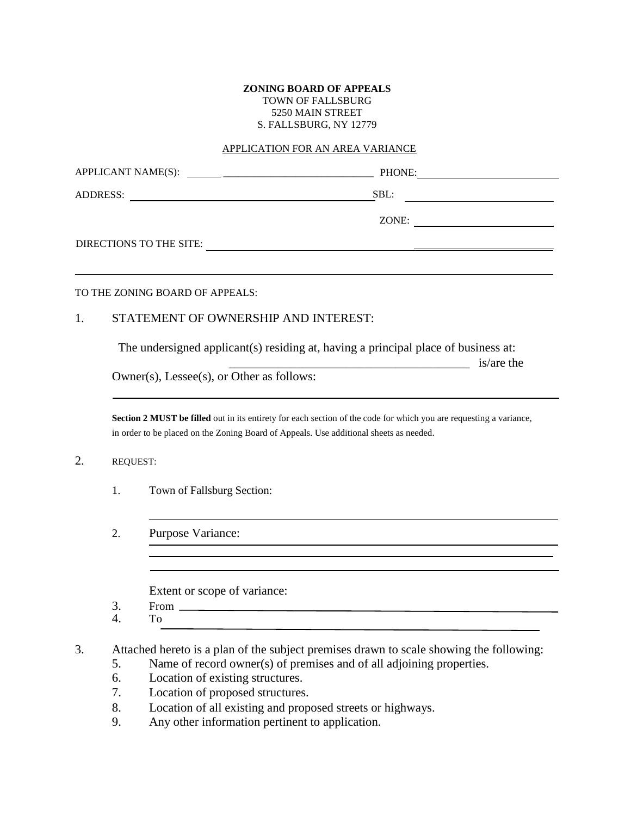#### **ZONING BOARD OF APPEALS**  TOWN OF FALLSBURG 5250 MAIN STREET S. FALLSBURG, NY 12779

#### APPLICATION FOR AN AREA VARIANCE

|                       |                                                                                                                                               | SBL:                                                                                                                                                                                                         |  |  |
|-----------------------|-----------------------------------------------------------------------------------------------------------------------------------------------|--------------------------------------------------------------------------------------------------------------------------------------------------------------------------------------------------------------|--|--|
|                       |                                                                                                                                               |                                                                                                                                                                                                              |  |  |
|                       |                                                                                                                                               |                                                                                                                                                                                                              |  |  |
|                       |                                                                                                                                               | TO THE ZONING BOARD OF APPEALS:                                                                                                                                                                              |  |  |
| 1.                    | STATEMENT OF OWNERSHIP AND INTEREST:                                                                                                          |                                                                                                                                                                                                              |  |  |
|                       | The undersigned applicant(s) residing at, having a principal place of business at:<br>is/are the<br>Owner(s), Lessee(s), or Other as follows: |                                                                                                                                                                                                              |  |  |
|                       |                                                                                                                                               | Section 2 MUST be filled out in its entirety for each section of the code for which you are requesting a variance,<br>in order to be placed on the Zoning Board of Appeals. Use additional sheets as needed. |  |  |
| 2.<br><b>REQUEST:</b> |                                                                                                                                               |                                                                                                                                                                                                              |  |  |
|                       | 1.                                                                                                                                            | Town of Fallsburg Section:                                                                                                                                                                                   |  |  |
|                       | 2.                                                                                                                                            | Purpose Variance:                                                                                                                                                                                            |  |  |
|                       |                                                                                                                                               |                                                                                                                                                                                                              |  |  |
|                       | 3.                                                                                                                                            | Extent or scope of variance:                                                                                                                                                                                 |  |  |
|                       | 4.                                                                                                                                            | To                                                                                                                                                                                                           |  |  |

3. Attached hereto is a plan of the subject premises drawn to scale showing the following:

- 5. Name of record owner(s) of premises and of all adjoining properties.
- 6. Location of existing structures.
- 7. Location of proposed structures.
- 8. Location of all existing and proposed streets or highways.<br>9. Any other information pertinent to application.
- Any other information pertinent to application.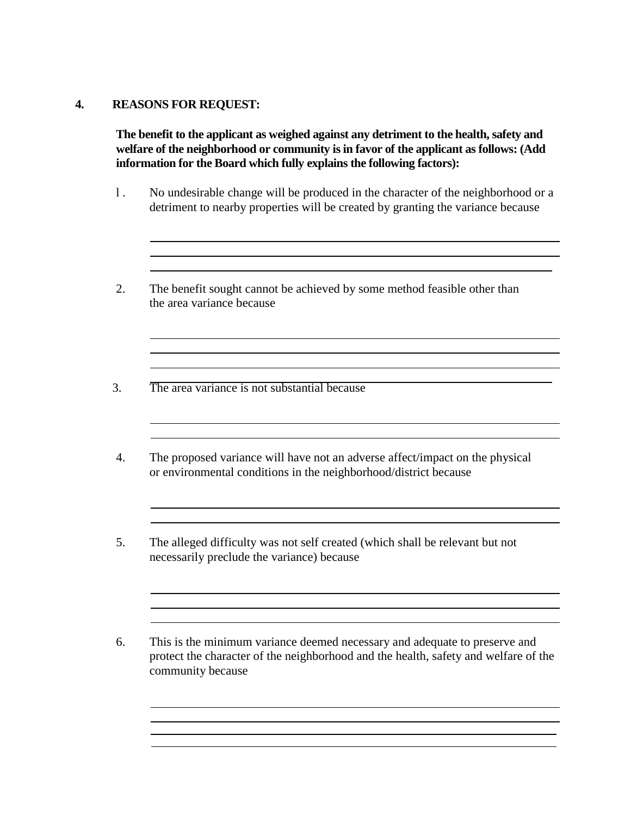### **4. REASONS FOR REQUEST:**

**The benefit to the applicant as weighed against any detriment to the health, safety and welfare of the neighborhood or community is in favor of the applicant as follows: (Add information for the Board which fully explains the following factors):**

l . No undesirable change will be produced in the character of the neighborhood or a detriment to nearby properties will be created by granting the variance because

<u> 1989 - Johann Stoff, amerikansk politiker (\* 1908)</u>

<u> 1989 - Johann Stoff, amerikansk politiker (d. 1989)</u>

- 2. The benefit sought cannot be achieved by some method feasible other than the area variance because
- 3. The area variance is not substantial because
- 4. The proposed variance will have not an adverse affect/impact on the physical or environmental conditions in the neighborhood/district because
- 5. The alleged difficulty was not self created (which shall be relevant but not necessarily preclude the variance) because
- 6. This is the minimum variance deemed necessary and adequate to preserve and protect the character of the neighborhood and the health, safety and welfare of the community because

the control of the control of the control of the control of the control of the control of the control of the control of the control of the control of the control of the control of the control of the control of the control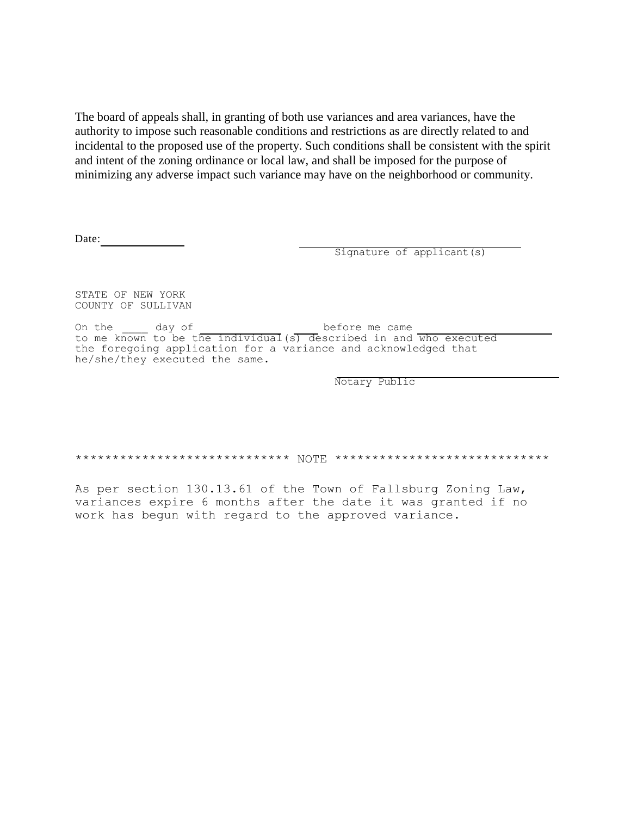The board of appeals shall, in granting of both use variances and area variances, have the authority to impose such reasonable conditions and restrictions as are directly related to and incidental to the proposed use of the property. Such conditions shall be consistent with the spirit and intent of the zoning ordinance or local law, and shall be imposed for the purpose of minimizing any adverse impact such variance may have on the neighborhood or community.

Date:

Signature of applicant(s)

STATE OF NEW YORK COUNTY OF SULLIVAN

On the \_\_\_\_ day of before me came to me known to be the individual(s) described in and who executed the foregoing application for a variance and acknowledged that he/she/they executed the same.

Notary Public

\*\*\*\*\*\*\*\*\*\*\*\*\*\*\*\*\*\*\*\*\*\*\*\*\*\*\*\*\* NOTE \*\*\*\*\*\*\*\*\*\*\*\*\*\*\*\*\*\*\*\*\*\*\*\*\*\*\*\*\*

As per section 130.13.61 of the Town of Fallsburg Zoning Law, variances expire 6 months after the date it was granted if no work has begun with regard to the approved variance.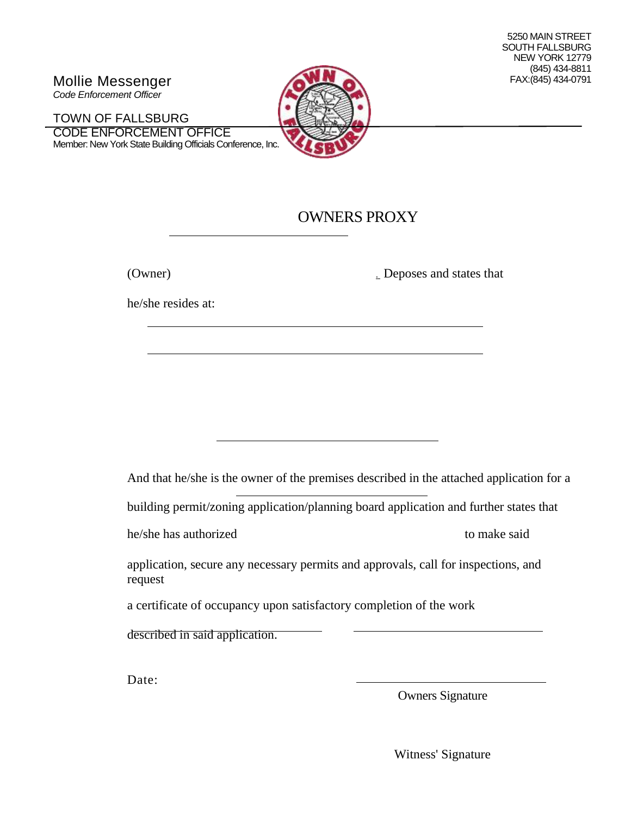5250 MAIN STREET SOUTH FALLSBURG NEW YORK 12779 845) 434-8811<br>FAX:(845) 434-0791

Mollie Messenger *Code Enforcement Officer*

TOWN OF FALLSBURG CODE ENFORCEMENT OFFICE Member: New York State Building Officials Conference, Inc.



# OWNERS PROXY

(Owner) . Deposes and states that

he/she resides at:

And that he/she is the owner of the premises described in the attached application for a

building permit/zoning application/planning board application and further states that

he/she has authorized to make said

application, secure any necessary permits and approvals, call for inspections, and request

a certificate of occupancy upon satisfactory completion of the work

described in said application.

Date:

Owners Signature

Witness' Signature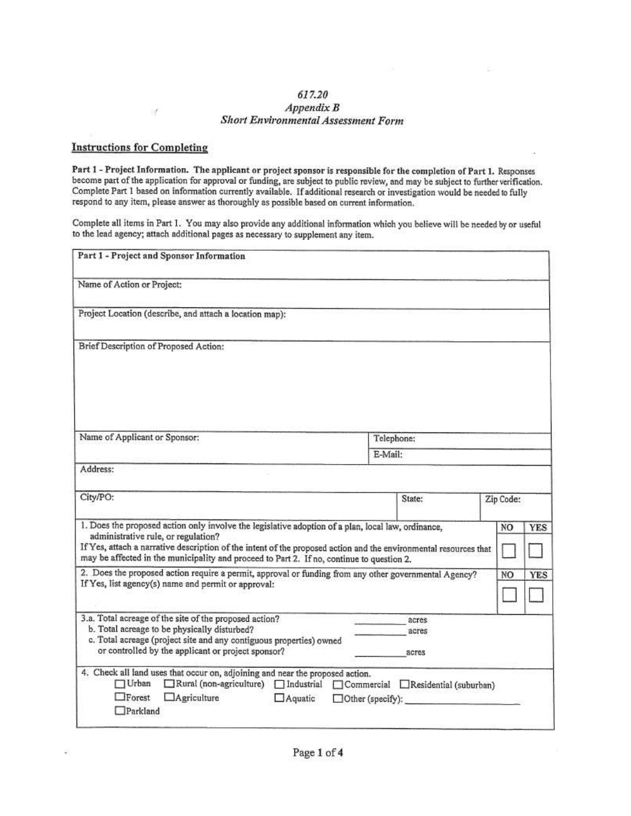#### 617.20 Appendix B **Short Environmental Assessment Form**

#### **Instructions for Completing**

Part 1 - Project Information. The applicant or project sponsor is responsible for the completion of Part 1. Responses become part of the application for approval or funding, are subject to public review, and may be subject to further verification. Complete Part 1 based on information currently available. If additional research or investigation would be needed to fully respond to any item, please answer as thoroughly as possible based on current information.

Complete all items in Part 1. You may also provide any additional information which you believe will be needed by or useful to the lead agency; attach additional pages as necessary to supplement any item.

| Part 1 - Project and Sponsor Information                                                                                                                                                                                                             |                                                           |           |            |
|------------------------------------------------------------------------------------------------------------------------------------------------------------------------------------------------------------------------------------------------------|-----------------------------------------------------------|-----------|------------|
| Name of Action or Project:                                                                                                                                                                                                                           |                                                           |           |            |
| Project Location (describe, and attach a location map):                                                                                                                                                                                              |                                                           |           |            |
| Brief Description of Proposed Action:                                                                                                                                                                                                                |                                                           |           |            |
| Name of Applicant or Sponsor:                                                                                                                                                                                                                        | Telephone:                                                |           |            |
|                                                                                                                                                                                                                                                      | E-Mail:                                                   |           |            |
| Address:                                                                                                                                                                                                                                             |                                                           |           |            |
| City/PO:                                                                                                                                                                                                                                             | State:                                                    | Zip Code: |            |
| 1. Does the proposed action only involve the legislative adoption of a plan, local law, ordinance,                                                                                                                                                   |                                                           | NO        | <b>YES</b> |
| administrative rule, or regulation?<br>If Yes, attach a narrative description of the intent of the proposed action and the environmental resources that<br>may be affected in the municipality and proceed to Part 2. If no, continue to question 2. |                                                           |           |            |
| 2. Does the proposed action require a permit, approval or funding from any other governmental Agency?                                                                                                                                                |                                                           | NO        | <b>YES</b> |
| If Yes, list agency(s) name and permit or approval:                                                                                                                                                                                                  |                                                           |           |            |
| 3.a. Total acreage of the site of the proposed action?<br>b. Total acreage to be physically disturbed?<br>c. Total acreage (project site and any contiguous properties) owned<br>or controlled by the applicant or project sponsor?                  | acres<br>acres<br>acres                                   |           |            |
| 4. Check all land uses that occur on, adjoining and near the proposed action.<br>Urban<br>Rural (non-agriculture)   Industrial<br>Agriculture<br>Forest<br>$\Box$ Aquatic<br>Parkland                                                                | □ Commercial □ Residential (suburban)<br>Other (specify): |           |            |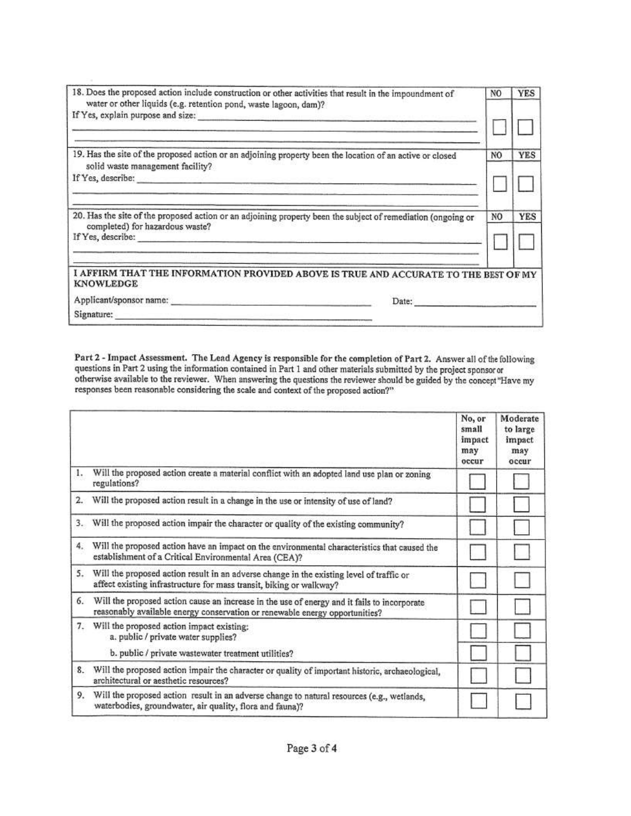| 18. Does the proposed action include construction or other activities that result in the impoundment of<br>water or other liquids (e.g. retention pond, waste lagoon, dam)?                                                                               | NO | <b>YES</b> |
|-----------------------------------------------------------------------------------------------------------------------------------------------------------------------------------------------------------------------------------------------------------|----|------------|
| If Yes, explain purpose and size:<br>ADS 마이터 - SHE - APPLICATION - USASSMAN MORE                                                                                                                                                                          |    |            |
| 19. Has the site of the proposed action or an adjoining property been the location of an active or closed<br>solid waste management facility?                                                                                                             | NO | <b>YES</b> |
| If Yes, describe:                                                                                                                                                                                                                                         |    |            |
| 20. Has the site of the proposed action or an adjoining property been the subject of remediation (ongoing or<br>completed) for hazardous waste?                                                                                                           | NO | <b>YES</b> |
| If Yes, describe:<br>The contract of the contract of the company of the contract of the contract of the contract of the                                                                                                                                   |    |            |
| I AFFIRM THAT THE INFORMATION PROVIDED ABOVE IS TRUE AND ACCURATE TO THE BEST OF MY<br><b>KNOWLEDGE</b>                                                                                                                                                   |    |            |
| Applicant/sponsor name:<br>Date: the contract of the contract of the contract of the contract of the contract of the contract of the contract of the contract of the contract of the contract of the contract of the contract of the contract of the cont |    |            |
| Signature:                                                                                                                                                                                                                                                |    |            |

÷,

Part 2 - Impact Assessment. The Lead Agency is responsible for the completion of Part 2. Answer all of the following questions in Part 2 using the information contained in Part 1 and other materials submitted by the projec

|     |                                                                                                                                                                            | No, or<br>small<br>impact<br>may<br>occur | Moderate<br>to large<br>impact<br>may<br>occur |
|-----|----------------------------------------------------------------------------------------------------------------------------------------------------------------------------|-------------------------------------------|------------------------------------------------|
| 1.  | Will the proposed action create a material conflict with an adopted land use plan or zoning<br>regulations?                                                                |                                           |                                                |
| 2.7 | Will the proposed action result in a change in the use or intensity of use of land?                                                                                        |                                           |                                                |
| 3.  | Will the proposed action impair the character or quality of the existing community?                                                                                        |                                           |                                                |
| 4.  | Will the proposed action have an impact on the environmental characteristics that caused the<br>establishment of a Critical Environmental Area (CEA)?                      |                                           |                                                |
| 5.  | Will the proposed action result in an adverse change in the existing level of traffic or<br>affect existing infrastructure for mass transit, biking or walkway?            |                                           |                                                |
| 6.  | Will the proposed action cause an increase in the use of energy and it fails to incorporate<br>reasonably available energy conservation or renewable energy opportunities? |                                           |                                                |
| 7.  | Will the proposed action impact existing:<br>a. public / private water supplies?                                                                                           |                                           |                                                |
|     | b. public / private wastewater treatment utilities?                                                                                                                        |                                           |                                                |
| 8.  | Will the proposed action impair the character or quality of important historic, archaeological,<br>architectural or aesthetic resources?                                   |                                           |                                                |
| 9.  | Will the proposed action result in an adverse change to natural resources (e.g., wetlands,<br>waterbodies, groundwater, air quality, flora and fauna)?                     |                                           |                                                |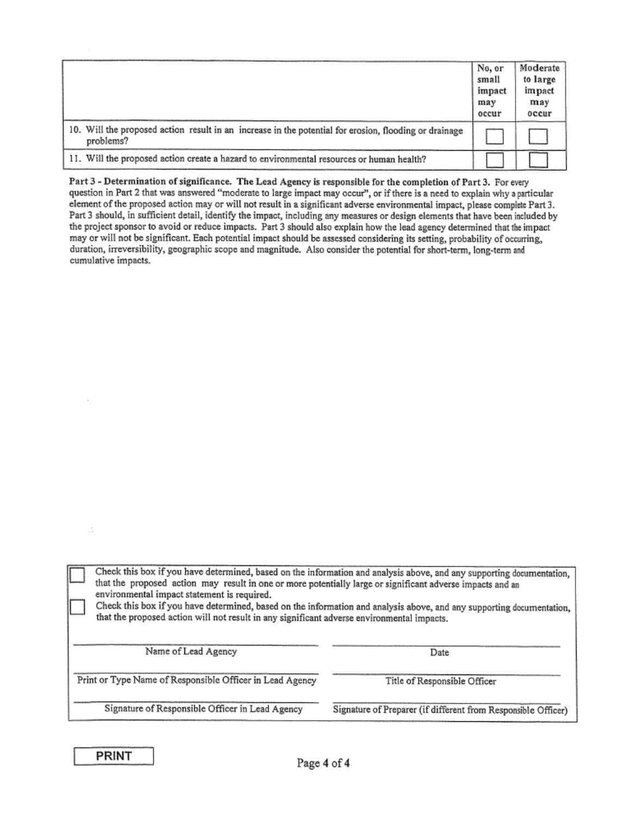|                                                                                                                    | No, or<br>small<br>impact<br>maγ<br>occur | Moderate<br>to large<br>impact<br>$\max$<br>occur |
|--------------------------------------------------------------------------------------------------------------------|-------------------------------------------|---------------------------------------------------|
| 10. Will the proposed action result in an increase in the potential for erosion, flooding or drainage<br>problems? |                                           |                                                   |
| 11. Will the proposed action create a hazard to environmental resources or human health?                           |                                           |                                                   |

Part 3 - Determination of significance. The Lead Agency is responsible for the completion of Part 3. For every question in Part 2 that was answered "moderate to large impact may occur", or if there is a need to explain why a particular element of the proposed action may or will not result in a significant adverse environmental impact, please complete Part 3. Part 3 should, in sufficient detail, identify the impact, including any measures or design elements that have been included by the project sponsor to avoid or reduce impacts. Part 3 should also explain how the lead agency determined that the impact may or will not be significant. Each potential impact should be assessed considering its setting, probability of occurring, duration, irreversibility, geographic scope and magnitude. Also consider the potential for short-term, long-term and cumulative impacts.

| Check this box if you have determined, based on the information and analysis above, and any supporting documentation,<br>that the proposed action may result in one or more potentially large or significant adverse impacts and an<br>environmental impact statement is required.<br>Check this box if you have determined, based on the information and analysis above, and any supporting decumentation,<br>that the proposed action will not result in any significant adverse environmental impacts. |                              |  |  |  |  |
|-----------------------------------------------------------------------------------------------------------------------------------------------------------------------------------------------------------------------------------------------------------------------------------------------------------------------------------------------------------------------------------------------------------------------------------------------------------------------------------------------------------|------------------------------|--|--|--|--|
| Name of Lead Agency                                                                                                                                                                                                                                                                                                                                                                                                                                                                                       | Date                         |  |  |  |  |
| Print or Type Name of Responsible Officer in Lead Agency                                                                                                                                                                                                                                                                                                                                                                                                                                                  | Title of Responsible Officer |  |  |  |  |
|                                                                                                                                                                                                                                                                                                                                                                                                                                                                                                           |                              |  |  |  |  |

PRINT

Signature of Responsible Officer in Lead Agency

Signature of Preparer (if different from Responsible Officer)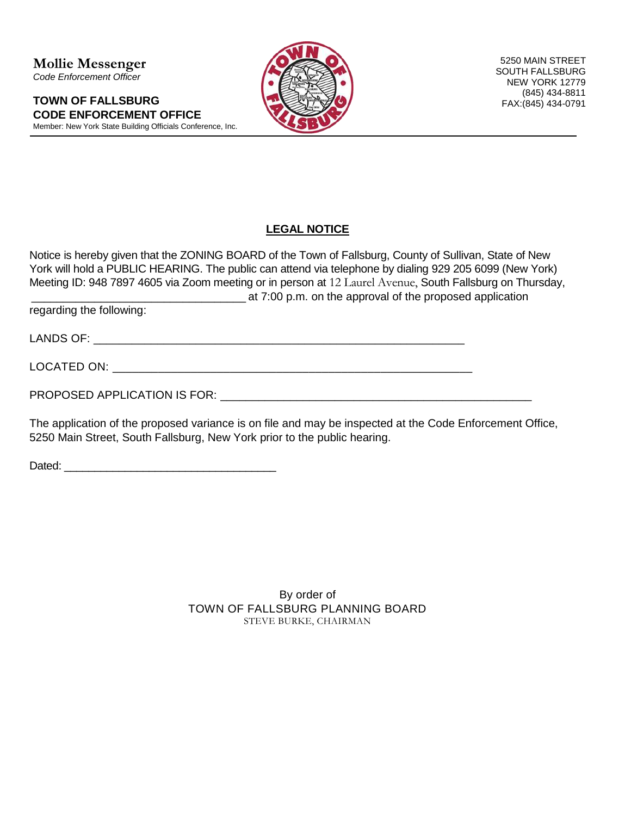**Mollie Messenger** *Code Enforcement Officer*

**TOWN OF FALLSBURG CODE ENFORCEMENT OFFICE** Member: New York State Building Officials Conference, Inc.



5250 MAIN STREET SOUTH FALLSBURG NEW YORK 12779 (845) 434-8811 FAX:(845) 434-0791

# **LEGAL NOTICE**

Notice is hereby given that the ZONING BOARD of the Town of Fallsburg, County of Sullivan, State of New York will hold a PUBLIC HEARING. The public can attend via telephone by dialing 929 205 6099 (New York) Meeting ID: 948 7897 4605 via Zoom meeting or in person at 12 Laurel Avenue, South Fallsburg on Thursday, \_\_\_\_\_\_\_\_\_\_\_\_\_\_\_\_\_\_\_\_\_\_\_\_\_\_\_\_\_\_\_\_\_\_ at 7:00 p.m. on the approval of the proposed application regarding the following: LANDS OF: \_\_\_\_\_\_\_\_\_\_\_\_\_\_\_\_\_\_\_\_\_\_\_\_\_\_\_\_\_\_\_\_\_\_\_\_\_\_\_\_\_\_\_\_\_\_\_\_\_\_\_\_\_\_\_\_\_\_ LOCATED ON: \_\_\_\_\_\_\_\_\_\_\_\_\_\_\_\_\_\_\_\_\_\_\_\_\_\_\_\_\_\_\_\_\_\_\_\_\_\_\_\_\_\_\_\_\_\_\_\_\_\_\_\_\_\_\_ PROPOSED APPLICATION IS FOR: \_\_\_\_\_\_\_\_\_\_\_\_\_\_\_\_\_\_\_\_\_\_\_\_\_\_\_\_\_\_\_\_\_\_\_\_\_\_\_\_\_\_\_\_\_\_\_\_\_

The application of the proposed variance is on file and may be inspected at the Code Enforcement Office, 5250 Main Street, South Fallsburg, New York prior to the public hearing.

Dated:  $\Box$ 

By order of TOWN OF FALLSBURG PLANNING BOARD STEVE BURKE, CHAIRMAN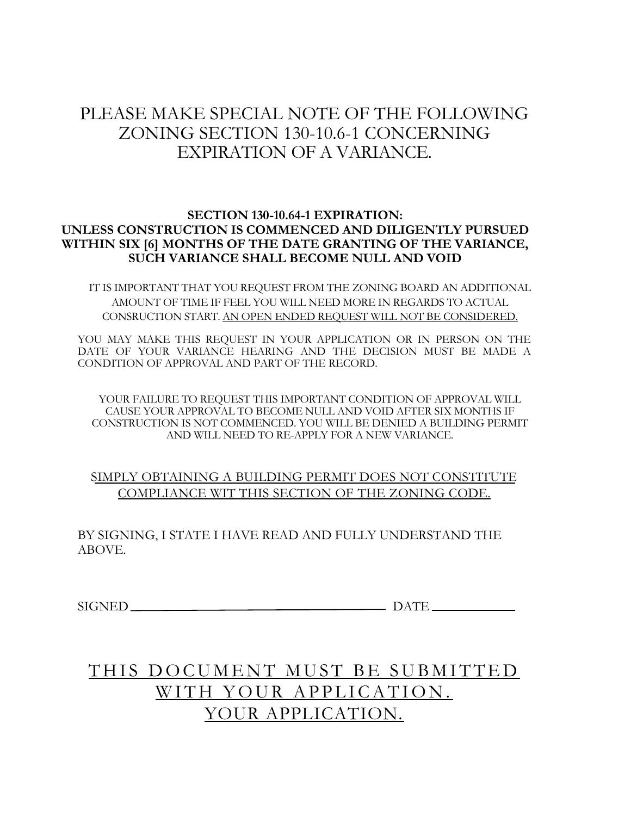# PLEASE MAKE SPECIAL NOTE OF THE FOLLOWING ZONING SECTION 130-10.6-1 CONCERNING EXPIRATION OF A VARIANCE.

## **SECTION 130-10.64-1 EXPIRATION: UNLESS CONSTRUCTION IS COMMENCED AND DILIGENTLY PURSUED WITHIN SIX [6] MONTHS OF THE DATE GRANTING OF THE VARIANCE, SUCH VARIANCE SHALL BECOME NULL AND VOID**

IT IS IMPORTANT THAT YOU REQUEST FROM THE ZONING BOARD AN ADDITIONAL AMOUNT OF TIME IF FEEL YOU WILL NEED MORE IN REGARDS TO ACTUAL CONSRUCTION [START. A](http://start.an/)N OPEN ENDED REQUEST WILL NOT BE CONSIDERED.

YOU MAY MAKE THIS REQUEST IN YOUR APPLICATION OR IN PERSON ON THE DATE OF YOUR VARIANCE HEARING AND THE DECISION MUST BE MADE A CONDITION OF APPROVAL AND PART OF THE RECORD.

YOUR FAILURE TO REQUEST THIS IMPORTANT CONDITION OF APPROVAL WILL CAUSE YOUR APPROVAL TO BECOME NULL AND VOID AFTER SIX MONTHS IF CONSTRUCTION IS NOT COMMENCED. YOU WILL BE DENIED A BUILDING PERMIT AND WILL NEED TO RE-APPLY FOR A NEW VARIANCE.

## SIMPLY OBTAINING A BUILDING PERMIT DOES NOT CONSTITUTE COMPLIANCE WIT THIS SECTION OF THE ZONING CODE.

BY SIGNING, I STATE I HAVE READ AND FULLY UNDERSTAND THE ABOVE.

SIGNED DATE

# THIS DOCUMENT MUST BE SUBMITTED WITH YOUR APPLICATION. YOUR APPLICATION.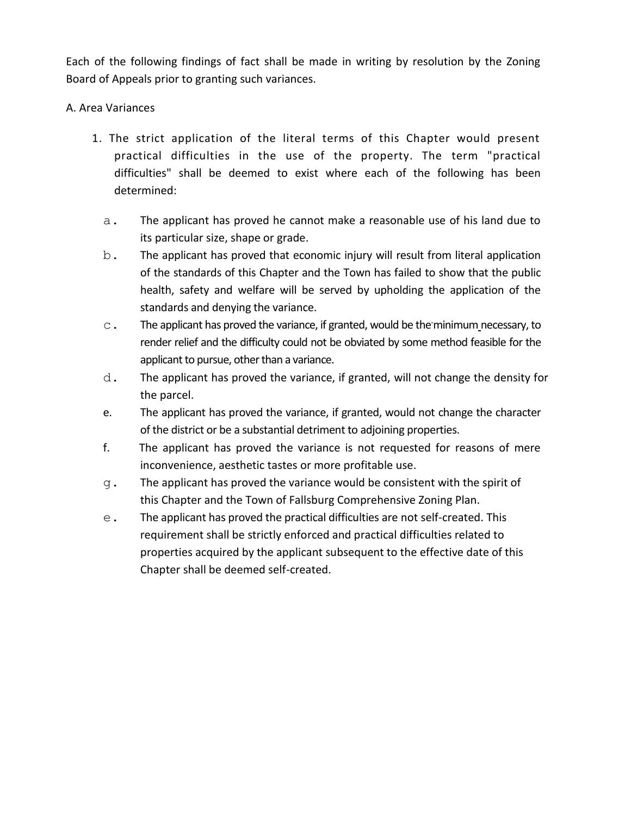Each of the following findings of fact shall be made in writing by resolution by the Zoning Board of Appeals prior to granting such variances.

## A. Area Variances

- 1. The strict application of the literal terms of this Chapter would present practical difficulties in the use of the property. The term "practical difficulties" shall be deemed to exist where each of the following has been determined:
	- a. The applicant has proved he cannot make a reasonable use of his land due to its particular size, shape or grade.
	- b. The applicant has proved that economic injury will result from literal application of the standards of this Chapter and the Town has failed to show that the public health, safety and welfare will be served by upholding the application of the standards and denying the variance.
	- $c.$  The applicant has proved the variance, if granted, would be the minimum necessary, to render relief and the difficulty could not be obviated by some method feasible for the applicant to pursue, other than a variance.
	- d. The applicant has proved the variance, if granted, will not change the density for the parcel.
	- e. The applicant has proved the variance, if granted, would not change the character of the district or be a substantial detriment to adjoining properties.
	- f. The applicant has proved the variance is not requested for reasons of mere inconvenience, aesthetic tastes or more profitable use.
	- g. The applicant has proved the variance would be consistent with the spirit of this Chapter and the Town of Fallsburg Comprehensive Zoning Plan.
	- e. The applicant has proved the practical difficulties are not self-created. This requirement shall be strictly enforced and practical difficulties related to properties acquired by the applicant subsequent to the effective date of this Chapter shall be deemed self-created.